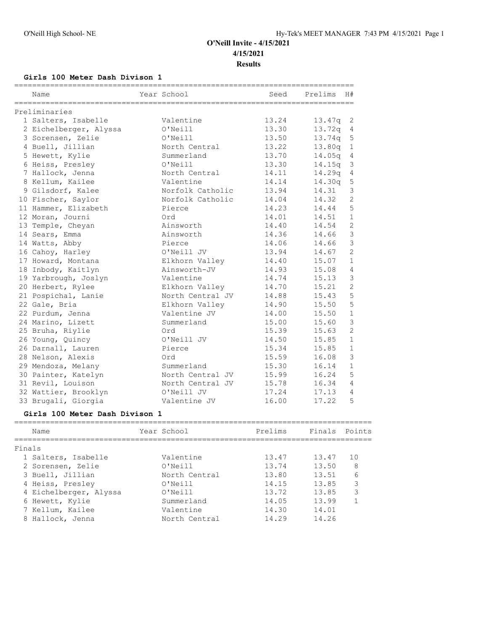## **Girls 100 Meter Dash Divison 1**

|                        |                  | ============================== |         |                |
|------------------------|------------------|--------------------------------|---------|----------------|
| Name                   | Year School      | Seed                           | Prelims | H#             |
|                        |                  |                                |         |                |
| Preliminaries          |                  |                                |         |                |
| 1 Salters, Isabelle    | Valentine        | 13.24                          | 13.47q  | 2              |
| 2 Eichelberger, Alyssa | O'Neill          | 13.30                          | 13.72q  | 4              |
| 3 Sorensen, Zelie      | O'Neill          | 13.50                          | 13.74q  | 5              |
| 4 Buell, Jillian       | North Central    | 13.22                          | 13.80q  | $\mathbf{1}$   |
| 5 Hewett, Kylie        | Summerland       | 13.70                          | 14.05q  | $\overline{4}$ |
| 6 Heiss, Presley       | O'Neill          | 13.30                          | 14.15q  | 3              |
| 7 Hallock, Jenna       | North Central    | 14.11                          | 14.29q  | $\sqrt{4}$     |
| 8 Kellum, Kailee       | Valentine        | 14.14                          | 14.30q  | 5              |
| 9 Gilsdorf, Kalee      | Norfolk Catholic | 13.94                          | 14.31   | 3              |
| 10 Fischer, Saylor     | Norfolk Catholic | 14.04                          | 14.32   | $\overline{2}$ |
| 11 Hammer, Elizabeth   | Pierce           | 14.23                          | 14.44   | 5              |
| 12 Moran, Journi       | Ord              | 14.01                          | 14.51   | $\mathbf{1}$   |
| 13 Temple, Cheyan      | Ainsworth        | 14.40                          | 14.54   | $\overline{c}$ |
| 14 Sears, Emma         | Ainsworth        | 14.36                          | 14.66   | $\mathfrak{Z}$ |
| 14 Watts, Abby         | Pierce           | 14.06                          | 14.66   | $\mathfrak{Z}$ |
| 16 Cahoy, Harley       | O'Neill JV       | 13.94                          | 14.67   | $\overline{2}$ |
| 17 Howard, Montana     | Elkhorn Valley   | 14.40                          | 15.07   | $\mathbf{1}$   |
| 18 Inbody, Kaitlyn     | Ainsworth-JV     | 14.93                          | 15.08   | $\overline{4}$ |
| 19 Yarbrough, Joslyn   | Valentine        | 14.74                          | 15.13   | $\mathcal{S}$  |
| 20 Herbert, Rylee      | Elkhorn Valley   | 14.70                          | 15.21   | $\overline{2}$ |
| 21 Pospichal, Lanie    | North Central JV | 14.88                          | 15.43   | 5              |
| 22 Gale, Bria          | Elkhorn Valley   | 14.90                          | 15.50   | 5              |
| 22 Purdum, Jenna       | Valentine JV     | 14.00                          | 15.50   | $1\,$          |
| 24 Marino, Lizett      | Summerland       | 15.00                          | 15.60   | $\mathcal{E}$  |
| 25 Bruha, Riylie       | Ord              | 15.39                          | 15.63   | $\overline{2}$ |
| 26 Young, Quincy       | O'Neill JV       | 14.50                          | 15.85   | $\mathbf{1}$   |
| 26 Darnall, Lauren     | Pierce           | 15.34                          | 15.85   | $\mathbf{1}$   |
| 28 Nelson, Alexis      | Ord              | 15.59                          | 16.08   | 3              |
| 29 Mendoza, Melany     | Summerland       | 15.30                          | 16.14   | $\mathbf{1}$   |
| 30 Painter, Katelyn    | North Central JV | 15.99                          | 16.24   | 5              |
| 31 Revil, Louison      | North Central JV | 15.78                          | 16.34   | 4              |
| 32 Wattier, Brooklyn   | O'Neill JV       | 17.24                          | 17.13   | $\overline{4}$ |
| 33 Brugali, Giorgia    | Valentine JV     | 16.00                          | 17.22   | 5              |

## **Girls 100 Meter Dash Divison 1**

| Name                   | Year School   | Prelims | Finals | Points |
|------------------------|---------------|---------|--------|--------|
|                        |               |         |        |        |
| Finals                 |               |         |        |        |
| 1 Salters, Isabelle    | Valentine     | 13.47   | 13.47  | 1 O    |
| 2 Sorensen, Zelie      | O'Neill       | 13.74   | 13.50  | 8      |
| 3 Buell, Jillian       | North Central | 13.80   | 13.51  | 6      |
| 4 Heiss, Presley       | O'Neill       | 14.15   | 13.85  | 3      |
| 4 Eichelberger, Alyssa | O'Neill       | 13.72   | 13.85  | 3      |
| 6 Hewett, Kylie        | Summerland    | 14.05   | 13.99  |        |
| 7 Kellum, Kailee       | Valentine     | 14.30   | 14.01  |        |
| 8 Hallock, Jenna       | North Central | 14.29   | 14.26  |        |
|                        |               |         |        |        |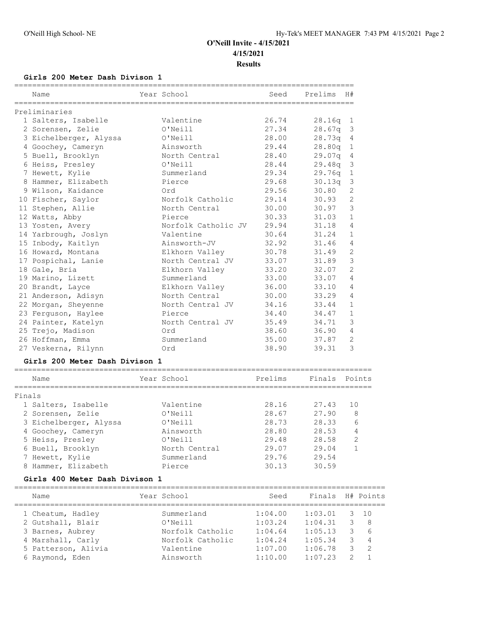## **Girls 200 Meter Dash Divison 1**

| Name<br>______________________       | Year School         | Seed    | Prelims | H#             |
|--------------------------------------|---------------------|---------|---------|----------------|
| Preliminaries                        |                     |         |         |                |
| 1 Salters, Isabelle                  | Valentine           | 26.74   | 28.16q  | 1              |
| 2 Sorensen, Zelie                    | O'Neill             | 27.34   | 28.67q  | 3              |
| 3 Eichelberger, Alyssa               | O'Neill             | 28.00   | 28.73q  | 4              |
| 4 Goochey, Cameryn                   | Ainsworth           | 29.44   | 28.80q  | $\mathbf 1$    |
| 5 Buell, Brooklyn                    | North Central       | 28.40   | 29.07q  | 4              |
| 6 Heiss, Presley                     | O'Neill             | 28.44   | 29.48q  | 3              |
| 7 Hewett, Kylie                      | Summerland          | 29.34   | 29.76q  | $\mathbf{1}$   |
| 8 Hammer, Elizabeth                  | Pierce              | 29.68   | 30.13q  | 3              |
| 9 Wilson, Kaidance                   | Ord                 | 29.56   | 30.80   | $\overline{2}$ |
| 10 Fischer, Saylor                   | Norfolk Catholic    | 29.14   | 30.93   | $\overline{2}$ |
| 11 Stephen, Allie                    | North Central       | 30.00   | 30.97   | 3              |
| 12 Watts, Abby                       | Pierce              | 30.33   | 31.03   | $\mathbf{1}$   |
| 13 Yosten, Avery                     | Norfolk Catholic JV | 29.94   | 31.18   | $\overline{4}$ |
| 14 Yarbrough, Joslyn                 | Valentine           | 30.64   | 31.24   | $\mathbf{1}$   |
| 15 Inbody, Kaitlyn                   | Ainsworth-JV        | 32.92   | 31.46   | $\overline{4}$ |
| 16 Howard, Montana                   | Elkhorn Valley      | 30.78   | 31.49   | $\overline{2}$ |
| 17 Pospichal, Lanie                  | North Central JV    | 33.07   | 31.89   | 3              |
| 18 Gale, Bria                        | Elkhorn Valley      | 33.20   | 32.07   | 2              |
| 19 Marino, Lizett                    | Summerland          | 33.00   | 33.07   | 4              |
| 20 Brandt, Layce                     | Elkhorn Valley      | 36.00   | 33.10   | 4              |
| 21 Anderson, Adisyn                  | North Central       | 30.00   | 33.29   | 4              |
| 22 Morgan, Sheyenne                  | North Central JV    | 34.16   | 33.44   | $\mathbf{1}$   |
| 23 Ferguson, Haylee                  | Pierce              | 34.40   | 34.47   | $\mathbf{1}$   |
| 24 Painter, Katelyn                  | North Central JV    | 35.49   | 34.71   | 3              |
| 25 Trejo, Madison                    | Ord                 | 38.60   | 36.90   | $\overline{4}$ |
| 26 Hoffman, Emma                     | Summerland          | 35.00   | 37.87   | 2              |
| 27 Veskerna, Rilynn                  | Ord                 | 38.90   | 39.31   | 3              |
| Girls 200 Meter Dash Divison 1       |                     |         |         |                |
| Name                                 | Year School         | Prelims | Finals  | Points         |
| Finals                               |                     |         |         |                |
| 1 Salters, Isabelle                  | Valentine           | 28.16   | 27.43   | 10             |
| 2 Sorensen, Zelie                    | O'Neill             | 28.67   | 27.90   | 8              |
| 3 Eichelberger, Alyssa               | O'Neill             | 28.73   | 28.33   | 6              |
| 4 Goochey, Cameryn                   | Ainsworth           | 28.80   | 28.53   | 4              |
| 5 Heiss, Presley                     | O'Neill             | 29.48   | 28.58   | 2              |
| 6 Buell, Brooklyn                    | North Central       | 29.07   | 29.04   | $\mathbf{1}$   |
| 7 Hewett, Kylie                      | Summerland          | 29.76   | 29.54   |                |
| 8 Hammer, Elizabeth                  | Pierce              | 30.13   | 30.59   |                |
| Girls 400 Meter Dash Divison 1       |                     |         |         |                |
| ============================<br>Name | Year School         | Seed    | Finals  | H# Points      |

| Name                | Year School      | Seed    | Finals  |    | H# Points      |
|---------------------|------------------|---------|---------|----|----------------|
| 1 Cheatum, Hadley   | Summerland       | 1:04.00 | 1:03.01 | 3. | 10             |
| 2 Gutshall, Blair   | O'Neill          | 1:03.24 | 1:04.31 |    | -8             |
| 3 Barnes, Aubrey    | Norfolk Catholic | 1:04.64 | 1:05.13 |    | -6             |
| 4 Marshall, Carly   | Norfolk Catholic | 1:04.24 | 1:05.34 |    | $\overline{4}$ |
| 5 Patterson, Alivia | Valentine        | 1:07.00 | 1:06.78 |    | $\mathcal{L}$  |
| 6 Raymond, Eden     | Ainsworth        | 1:10.00 | 1:07.23 |    |                |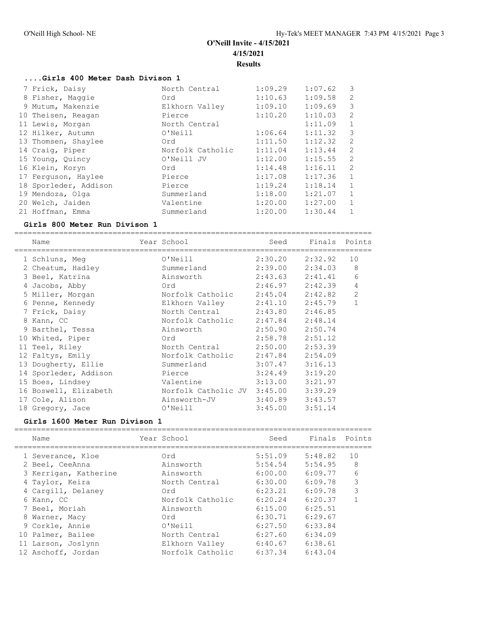## **....Girls 400 Meter Dash Divison 1**

| 7 Frick, Daisy        | North Central    | 1:09.29 | 1:07.62 | 3              |
|-----------------------|------------------|---------|---------|----------------|
| 8 Fisher, Maggie      | Ord              | 1:10.63 | 1:09.58 | $\overline{2}$ |
| 9 Mutum, Makenzie     | Elkhorn Valley   | 1:09.10 | 1:09.69 | 3              |
| 10 Theisen, Reagan    | Pierce           | 1:10.20 | 1:10.03 | 2              |
| 11 Lewis, Morgan      | North Central    |         | 1:11.09 | $\mathbf{1}$   |
| 12 Hilker, Autumn     | O'Neill          | 1:06.64 | 1:11.32 | 3              |
| 13 Thomsen, Shaylee   | Ord              | 1:11.50 | 1:12.32 | $\mathfrak{D}$ |
| 14 Craig, Piper       | Norfolk Catholic | 1:11.04 | 1:13.44 | $\overline{2}$ |
| 15 Young, Quincy      | O'Neill JV       | 1:12.00 | 1:15.55 | $\overline{2}$ |
| 16 Klein, Koryn       | Ord              | 1:14.48 | 1:16.11 | 2              |
| 17 Ferquson, Haylee   | Pierce           | 1:17.08 | 1:17.36 | $\mathbf{1}$   |
| 18 Sporleder, Addison | Pierce           | 1:19.24 | 1:18.14 | $\mathbf{1}$   |
| 19 Mendoza, Olga      | Summerland       | 1:18.00 | 1:21.07 | $\mathbf{1}$   |
| 20 Welch, Jaiden      | Valentine        | 1:20.00 | 1:27.00 | $\mathbf{1}$   |
| 21 Hoffman, Emma      | Summerland       | 1:20.00 | 1:30.44 | 1              |

#### **Girls 800 Meter Run Divison 1**

================================================================================

| Name                  | Year School                 | Seed                | Finals  | Points         |
|-----------------------|-----------------------------|---------------------|---------|----------------|
| 1 Schluns, Meg        | $O'$ Neill                  | 2:30.20             | 2:32.92 | 10             |
| 2 Cheatum, Hadley     | Summerland                  | 2:39.00             | 2:34.03 | 8              |
| 3 Beel, Katrina       | Ainsworth                   | 2:43.63             | 2:41.41 | 6              |
| 4 Jacobs, Abby        | Ord                         | 2:46.97             | 2:42.39 | 4              |
| 5 Miller, Morgan      | Norfolk Catholic            | 2:45.04             | 2:42.82 | $\overline{2}$ |
| 6 Penne, Kennedy      | Elkhorn Valley              | 2:41.10             | 2:45.79 | $\mathbf{1}$   |
| 7 Frick, Daisy        | North Central               | 2:43.80             | 2:46.85 |                |
| 8 Kann, CC            | Norfolk Catholic            | 2:47.84             | 2:48.14 |                |
| 9 Barthel, Tessa      | Ainsworth                   | 2:50.90             | 2:50.74 |                |
| 10 Whited, Piper      | Ord                         | 2:58.78             | 2:51.12 |                |
| 11 Teel, Riley        | North Central               | 2:50.00             | 2:53.39 |                |
| 12 Faltys, Emily      | Norfolk Catholic            | 2:47.84             | 2:54.09 |                |
| 13 Dougherty, Ellie   | Summerland                  | 3:07.47             | 3:16.13 |                |
| 14 Sporleder, Addison | Pierce                      | 3:24.49             | 3:19.20 |                |
| 15 Boes, Lindsey      | Valentine                   | 3:13.00             | 3:21.97 |                |
| 16 Boswell, Elizabeth | Norfolk Catholic JV 3:45.00 |                     | 3:39.29 |                |
| 17 Cole, Alison       | Ainsworth-JV                | $3:40.89$ $3:43.57$ |         |                |
| 18 Gregory, Jace      | O'Neill                     | 3:45.00             | 3:51.14 |                |

## **Girls 1600 Meter Run Divison 1**

| Name                  | Year School      | Seed    | Finals  | Points |
|-----------------------|------------------|---------|---------|--------|
|                       |                  |         |         |        |
| 1 Severance, Kloe     | Ord              | 5:51.09 | 5:48.82 | 10     |
| 2 Beel, CeeAnna       | Ainsworth        | 5:54.54 | 5:54.95 | 8      |
| 3 Kerrigan, Katherine | Ainsworth        | 6:00.00 | 6:09.77 | 6      |
| 4 Taylor, Keira       | North Central    | 6:30.00 | 6:09.78 | 3      |
| 4 Cargill, Delaney    | Ord              | 6:23.21 | 6:09.78 | 3      |
| 6 Kann, CC            | Norfolk Catholic | 6:20.24 | 6:20.37 |        |
| 7 Beel, Moriah        | Ainsworth        | 6:15.00 | 6:25.51 |        |
| 8 Warner, Macy        | Ord              | 6:30.71 | 6:29.67 |        |
| 9 Corkle, Annie       | O'Neill          | 6:27.50 | 6:33.84 |        |
| 10 Palmer, Bailee     | North Central    | 6:27.60 | 6:34.09 |        |
| 11 Larson, Joslynn    | Elkhorn Valley   | 6:40.67 | 6:38.61 |        |
| 12 Aschoff, Jordan    | Norfolk Catholic | 6:37.34 | 6:43.04 |        |
|                       |                  |         |         |        |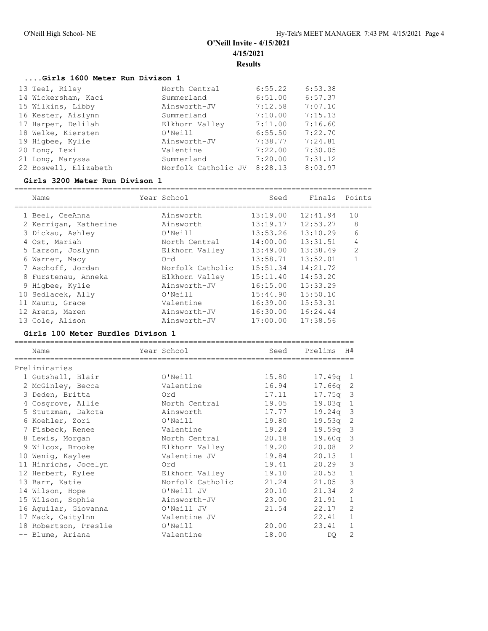## **....Girls 1600 Meter Run Divison 1**

| 13 Teel, Riley        | North Central       | 6:55.22 | 6:53.38 |
|-----------------------|---------------------|---------|---------|
| 14 Wickersham, Kaci   | Summerland          | 6:51.00 | 6:57.37 |
| 15 Wilkins, Libby     | Ainsworth-JV        | 7:12.58 | 7:07.10 |
| 16 Kester, Aislynn    | Summerland          | 7:10.00 | 7:15.13 |
| 17 Harper, Delilah    | Elkhorn Valley      | 7:11.00 | 7:16.60 |
| 18 Welke, Kiersten    | O'Neill             | 6:55.50 | 7:22.70 |
| 19 Higbee, Kylie      | Ainsworth-JV        | 7:38.77 | 7:24.81 |
| 20 Long, Lexi         | Valentine           | 7:22.00 | 7:30.05 |
| 21 Long, Maryssa      | Summerland          | 7:20.00 | 7:31.12 |
| 22 Boswell, Elizabeth | Norfolk Catholic JV | 8:28.13 | 8:03.97 |

#### **Girls 3200 Meter Run Divison 1**

================================================================================

| Name                  | Year School      | Seed     | Finals   | Points         |
|-----------------------|------------------|----------|----------|----------------|
| 1 Beel, CeeAnna       | Ainsworth        | 13:19.00 | 12:41.94 | 10             |
| 2 Kerrigan, Katherine | Ainsworth        | 13:19.17 | 12:53.27 | 8              |
| 3 Dickau, Ashley      | O'Neill          | 13:53.26 | 13:10.29 | 6              |
| 4 Ost, Mariah         | North Central    | 14:00.00 | 13:31.51 | 4              |
| 5 Larson, Joslynn     | Elkhorn Valley   | 13:49.00 | 13:38.49 | $\overline{2}$ |
| 6 Warner, Macy        | Ord              | 13:58.71 | 13:52.01 |                |
| 7 Aschoff, Jordan     | Norfolk Catholic | 15:51.34 | 14:21.72 |                |
| 8 Furstenau, Anneka   | Elkhorn Valley   | 15:11.40 | 14:53.20 |                |
| 9 Higbee, Kylie       | Ainsworth-JV     | 16:15.00 | 15:33.29 |                |
| 10 Sedlacek, Ally     | O'Neill          | 15:44.90 | 15:50.10 |                |
| 11 Maunu, Grace       | Valentine        | 16:39.00 | 15:53.31 |                |
| 12 Arens, Maren       | Ainsworth-JV     | 16:30.00 | 16:24.44 |                |
| 13 Cole, Alison       | Ainsworth-JV     | 17:00.00 | 17:38.56 |                |

## **Girls 100 Meter Hurdles Divison 1**

| Name                  | Year School      | Seed  | Prelims    | H#             |
|-----------------------|------------------|-------|------------|----------------|
| Preliminaries         |                  |       |            |                |
| 1 Gutshall, Blair     | O'Neill          | 15.80 | $17.49q$ 1 |                |
| 2 McGinley, Becca     | Valentine        | 16.94 | 17.66q 2   |                |
| 3 Deden, Britta       | Ord              | 17.11 | $17.75q$ 3 |                |
| 4 Cosgrove, Allie     | North Central    | 19.05 | 19.03q     | $\mathbf{1}$   |
| 5 Stutzman, Dakota    | Ainsworth        | 17.77 | $19.24q$ 3 |                |
| 6 Koehler, Zori       | O'Neill          | 19.80 | $19.53q$ 2 |                |
| 7 Fisbeck, Renee      | Valentine        | 19.24 | 19.59q     | $\overline{3}$ |
| 8 Lewis, Morgan       | North Central    | 20.18 | 19.60a     | $\mathcal{S}$  |
| 9 Wilcox, Brooke      | Elkhorn Valley   | 19.20 | 20.08      | $\overline{2}$ |
| 10 Wenig, Kaylee      | Valentine JV     | 19.84 | 20.13      | $1\,$          |
| 11 Hinrichs, Jocelyn  | Ord              | 19.41 | 20.29      | 3              |
| 12 Herbert, Rylee     | Elkhorn Valley   | 19.10 | 20.53      | $\mathbf 1$    |
| 13 Barr, Katie        | Norfolk Catholic | 21.24 | 21.05      | 3              |
| 14 Wilson, Hope       | O'Neill JV       | 20.10 | 21.34      | $\overline{c}$ |
| 15 Wilson, Sophie     | Ainsworth-JV     | 23.00 | 21.91      | $1\,$          |
| 16 Aguilar, Giovanna  | O'Neill JV       | 21.54 | 22.17      | $\overline{2}$ |
| 17 Mack, Caitylnn     | Valentine JV     |       | 22.41      | $\mathbf{1}$   |
| 18 Robertson, Preslie | O'Neill          | 20.00 | 23.41      | $1\,$          |
| -- Blume, Ariana      | Valentine        | 18.00 | DO.        | $\overline{c}$ |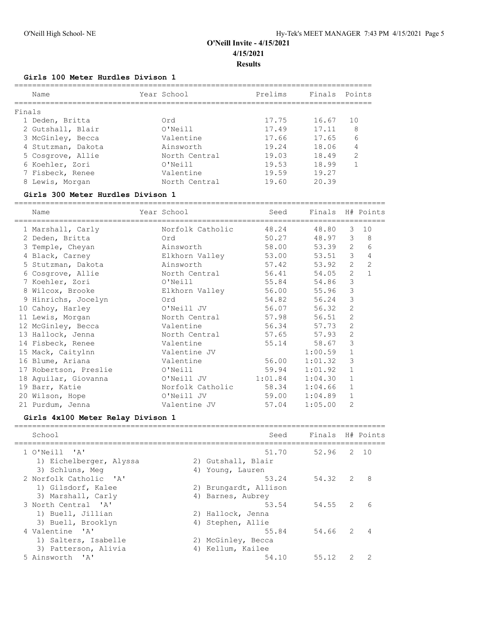#### **Girls 100 Meter Hurdles Divison 1**

| Year School   | Prelims | Finals | Points |
|---------------|---------|--------|--------|
|               |         |        |        |
| Ord           | 17.75   | 16.67  | 10     |
| O'Neill       | 17.49   | 17.11  | 8      |
| Valentine     | 17.66   | 17.65  | 6      |
| Ainsworth     | 19.24   | 18.06  | 4      |
| North Central | 19.03   | 18.49  | 2      |
| O'Neill       | 19.53   | 18.99  |        |
| Valentine     | 19.59   | 19.27  |        |
| North Central | 19.60   | 20.39  |        |
|               |         |        |        |

#### **Girls 300 Meter Hurdles Divison 1**

=================================================================================== Name The Year School Seed Finals H# Points =================================================================================== 1 Marshall, Carly Norfolk Catholic 48.24 48.80 3 10 2 Deden, Britta Ord 50.27 48.97 3 8 3 Temple, Cheyan Ainsworth 58.00 53.39 2 6 4 Black, Carney Elkhorn Valley 53.00 53.51 3 4 5 Stutzman, Dakota Ainsworth 57.42 53.92 2 2 6 Cosgrove, Allie North Central 56.41 54.05 2 1 7 Koehler, Zori O'Neill 55.84 54.86 3 8 Wilcox, Brooke Elkhorn Valley 56.00 55.96 3 9 Hinrichs, Jocelyn Ord 54.82 56.24 3 10 Cahoy, Harley O'Neill JV 56.07 56.32 2 11 Lewis, Morgan **North Central** 57.98 56.51 2 12 McGinley, Becca Valentine 56.34 57.73 2 13 Hallock, Jenna North Central 57.65 57.93 2 14 Fisbeck, Renee Valentine 55.14 58.67 3 15 Mack, Caitylnn Valentine JV 1:00.59 1 16 Blume, Ariana Valentine 56.00 1:01.32 3 17 Robertson, Preslie O'Neill 59.94 1:01.92 1 18 Aguilar, Giovanna O'Neill JV 1:01.84 1:04.30 1 19 Barr, Katie Norfolk Catholic 58.34 1:04.66 1 20 Wilson, Hope O'Neill JV 59.00 1:04.89 1 21 Purdum, Jenna Valentine JV 57.04 1:05.00 2

#### **Girls 4x100 Meter Relay Divison 1**

| School                                                | Seed                  | Finals H# Points |   |      |
|-------------------------------------------------------|-----------------------|------------------|---|------|
| 1 O'Neill 'A'                                         | 51.70                 | 52.96            |   | 2 10 |
| 1) Eichelberger, Alyssa                               | 2) Gutshall, Blair    |                  |   |      |
| 3) Schluns, Meq                                       | 4) Young, Lauren      |                  |   |      |
| 2 Norfolk Catholic 'A'                                | 53.24                 | 54.32            | 2 | -8   |
| 1) Gilsdorf, Kalee                                    | 2) Brungardt, Allison |                  |   |      |
| 3) Marshall, Carly                                    | 4) Barnes, Aubrey     |                  |   |      |
| 3 North Central 'A'                                   | 53.54                 | 54.55            | 2 | 6    |
| 1) Buell, Jillian                                     | 2) Hallock, Jenna     |                  |   |      |
| 3) Buell, Brooklyn                                    | 4) Stephen, Allie     |                  |   |      |
| 4 Valentine 'A'                                       | 55.84                 | 54.66            | 2 |      |
| 1) Salters, Isabelle                                  | 2) McGinley, Becca    |                  |   |      |
| 3) Patterson, Alivia                                  | 4) Kellum, Kailee     |                  |   |      |
| 5 Ainsworth<br>$\mathsf{I}$ $\mathsf{A}$ $\mathsf{I}$ | 54.10                 | 55.12            |   |      |
|                                                       |                       |                  |   |      |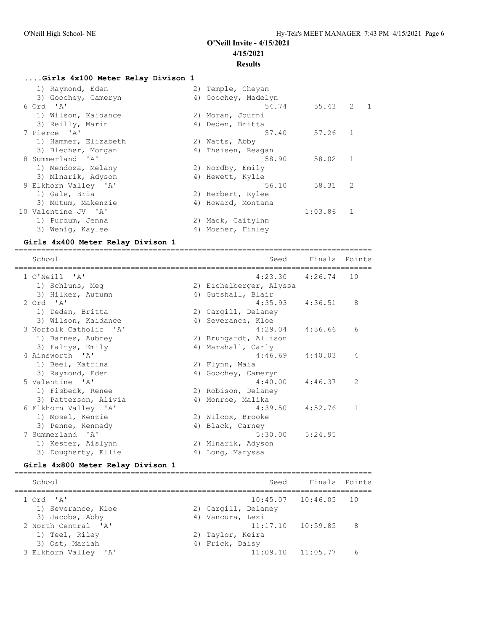#### **....Girls 4x100 Meter Relay Divison 1**

| 1) Raymond, Eden     | 2) Temple, Cheyan   |         |              |             |
|----------------------|---------------------|---------|--------------|-------------|
| 3) Goochey, Cameryn  | 4) Goochey, Madelyn |         |              |             |
| 6 Ord 'A'            | 54.74               | 55.43   |              | $2 \quad 1$ |
| 1) Wilson, Kaidance  | 2) Moran, Journi    |         |              |             |
| 3) Reilly, Marin     | 4) Deden, Britta    |         |              |             |
| 7 Pierce 'A'         | 57.40               | 57.26   | 1            |             |
| 1) Hammer, Elizabeth | 2) Watts, Abby      |         |              |             |
| 3) Blecher, Morgan   | 4) Theisen, Reagan  |         |              |             |
| 8 Summerland 'A'     | 58.90               | 58.02   | $\mathbf{1}$ |             |
| 1) Mendoza, Melany   | 2) Nordby, Emily    |         |              |             |
| 3) Mlnarik, Adyson   | 4) Hewett, Kylie    |         |              |             |
| 9 Elkhorn Valley 'A' | 56.10               | 58.31   | 2            |             |
| 1) Gale, Bria        | 2) Herbert, Rylee   |         |              |             |
| 3) Mutum, Makenzie   | 4) Howard, Montana  |         |              |             |
| 10 Valentine JV 'A'  |                     | 1:03.86 | $\mathbf{1}$ |             |
| 1) Purdum, Jenna     | 2) Mack, Caitylnn   |         |              |             |
| 3) Wenig, Kaylee     | 4) Mosner, Finley   |         |              |             |
|                      |                     |         |              |             |

### **Girls 4x400 Meter Relay Divison 1**

================================================================================ School Seed Finals Points ================================================================================ 1 O'Neill 'A' 4:23.30 4:26.74 10 1) Schluns, Meg 2) Eichelberger, Alyssa 3) Hilker, Autumn 4) Gutshall, Blair 2 Ord 'A' 4:35.93 4:36.51 8 1) Deden, Britta 2) Cargill, Delaney 3) Wilson, Kaidance (4) Severance, Kloe 3 Norfolk Catholic 'A' 4:29.04 4:36.66 6 1) Barnes, Aubrey 2) Brungardt, Allison 3) Faltys, Emily 1988 (4) Marshall, Carly 4 Ainsworth 'A' 4:46.69 4:40.03 4 1) Beel, Katrina 2) Flynn, Maia 3) Raymond, Eden 1988 (4) Goochey, Cameryn 5 Valentine 'A' 4:40.00 4:46.37 2 1) Fisbeck, Renee 2) Robison, Delaney 3) Patterson, Alivia (4) Monroe, Malika 6 Elkhorn Valley 'A' 4:39.50 4:52.76 1 1) Mosel, Kenzie 2) Wilcox, Brooke 3) Penne, Kennedy (4) Black, Carney 7 Summerland 'A' 5:30.00 5:24.95 1) Kester, Aislynn 2) Mlnarik, Adyson 3) Dougherty, Ellie (4) Long, Maryssa

#### **Girls 4x800 Meter Relay Divison 1**

| School                                 | Seed                                | Finals Points            |     |
|----------------------------------------|-------------------------------------|--------------------------|-----|
| 1 Ord 'A'<br>1) Severance, Kloe        | 2) Cargill, Delaney                 | $10:45.07$ $10:46.05$ 10 |     |
| 3) Jacobs, Abby<br>2 North Central 'A' | 4) Vancura, Lexi                    | $11:17.10$ $10:59.85$    | - 8 |
| 1) Teel, Riley<br>3) Ost, Mariah       | 2) Taylor, Keira<br>4) Frick, Daisy |                          |     |
| 3 Elkhorn Valley 'A'                   |                                     | $11:09.10$ $11:05.77$    | 6   |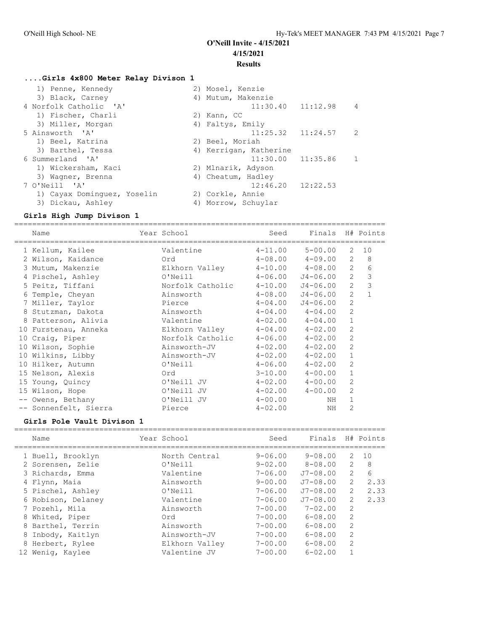## **....Girls 4x800 Meter Relay Divison 1**

| 1) Penne, Kennedy           | 2) Mosel, Kenzie           |
|-----------------------------|----------------------------|
| 3) Black, Carney            | 4) Mutum, Makenzie         |
| 4 Norfolk Catholic 'A'      | $11:30.40$ $11:12.98$<br>4 |
| 1) Fischer, Charli          | 2) Kann, CC                |
| 3) Miller, Morgan           | 4) Faltys, Emily           |
| 5 Ainsworth 'A'             | $11:25.32$ $11:24.57$ 2    |
| 1) Beel, Katrina            | 2) Beel, Moriah            |
| 3) Barthel, Tessa           | 4) Kerrigan, Katherine     |
| 6 Summerland 'A'            | $11:30.00$ $11:35.86$      |
| 1) Wickersham, Kaci         | 2) Mlnarik, Adyson         |
| 3) Waqner, Brenna           | 4) Cheatum, Hadley         |
| 7 O'Neill 'A'               | $12:46.20$ $12:22.53$      |
| 1) Cayax Dominquez, Yoselin | 2) Corkle, Annie           |
| 3) Dickau, Ashley           | 4) Morrow, Schuylar        |

### **Girls High Jump Divison 1**

=================================================================================== Name The Year School Seed Finals H# Points ===================================================================================

| 1 Kellum, Kailee      | Valentine        | $4 - 11.00$ | $5 - 00.00$  | 2              | 10           |
|-----------------------|------------------|-------------|--------------|----------------|--------------|
| 2 Wilson, Kaidance    | Ord              | $4 - 08.00$ | 4-09.00      | 2              | 8            |
| 3 Mutum, Makenzie     | Elkhorn Valley   | $4 - 10.00$ | $4 - 08.00$  | 2              | 6            |
| 4 Pischel, Ashley     | O'Neill          | $4 - 06.00$ | J4-06.00     | 2              | 3            |
| 5 Peitz, Tiffani      | Norfolk Catholic | $4 - 10.00$ | $J4 - 06.00$ | $\overline{2}$ | 3            |
| 6 Temple, Cheyan      | Ainsworth        | $4 - 08.00$ | $J4 - 06.00$ | $\overline{2}$ | $\mathbf{1}$ |
| 7 Miller, Taylor      | Pierce           | $4 - 04.00$ | $J4 - 06.00$ | $\overline{2}$ |              |
| 8 Stutzman, Dakota    | Ainsworth        | $4 - 04.00$ | $4 - 04.00$  | 2              |              |
| 8 Patterson, Alivia   | Valentine        | $4 - 02.00$ | $4 - 04.00$  | $\mathbf{1}$   |              |
| 10 Furstenau, Anneka  | Elkhorn Valley   | $4 - 04.00$ | $4 - 02.00$  | $\overline{2}$ |              |
| 10 Craig, Piper       | Norfolk Catholic | $4 - 06.00$ | $4 - 02.00$  | 2              |              |
| 10 Wilson, Sophie     | Ainsworth-JV     | $4 - 02.00$ | $4 - 02.00$  | $\overline{2}$ |              |
| 10 Wilkins, Libby     | Ainsworth-JV     | $4 - 02.00$ | $4 - 02.00$  | $\mathbf{1}$   |              |
| 10 Hilker, Autumn     | O'Neill          | $4 - 06.00$ | $4 - 02.00$  | $\mathfrak{D}$ |              |
| 15 Nelson, Alexis     | Ord              | $3 - 10.00$ | $4 - 00.00$  | $\mathbf{1}$   |              |
| 15 Young, Quincy      | O'Neill JV       | $4 - 02.00$ | $4 - 00.00$  | 2              |              |
| 15 Wilson, Hope       | O'Neill JV       | $4 - 02.00$ | $4 - 00.00$  | $\mathfrak{D}$ |              |
| -- Owens, Bethany     | O'Neill JV       | $4 - 00.00$ | NH           | $\mathbf{1}$   |              |
| -- Sonnenfelt, Sierra | Pierce           | $4 - 02.00$ | NH           | $\overline{2}$ |              |

## **Girls Pole Vault Divison 1**

| Name               | Year School    | Seed        | Finals         |                | H# Points |
|--------------------|----------------|-------------|----------------|----------------|-----------|
|                    |                |             |                |                |           |
| 1 Buell, Brooklyn  | North Central  | $9 - 06.00$ | $9 - 08.00$    | 2              | 10        |
| 2 Sorensen, Zelie  | O'Neill        | $9 - 02.00$ | $8 - 0.8$ , 00 | 2              | 8         |
| 3 Richards, Emma   | Valentine      | $7 - 06.00$ | $J7 - 08.00$   | $\overline{2}$ | 6         |
| 4 Flynn, Maia      | Ainsworth      | $9 - 00.00$ | $J7 - 08.00$   | 2              | 2.33      |
| 5 Pischel, Ashley  | O'Neill        | $7 - 06.00$ | $J7 - 08.00$   | 2              | 2.33      |
| 6 Robison, Delaney | Valentine      | $7 - 06.00$ | $J7 - 08.00$   | 2              | 2.33      |
| 7 Pozehl, Mila     | Ainsworth      | $7 - 00.00$ | $7 - 02.00$    | 2              |           |
| 8 Whited, Piper    | Ord            | $7 - 00.00$ | $6 - 08.00$    | 2              |           |
| 8 Barthel, Terrin  | Ainsworth      | $7 - 00.00$ | $6 - 08.00$    | 2              |           |
| 8 Inbody, Kaitlyn  | Ainsworth-JV   | $7 - 00.00$ | $6 - 08.00$    | 2              |           |
| 8 Herbert, Rylee   | Elkhorn Valley | $7 - 00.00$ | $6 - 08.00$    | 2              |           |
| 12 Wenig, Kaylee   | Valentine JV   | $7 - 00.00$ | $6 - 02.00$    |                |           |
|                    |                |             |                |                |           |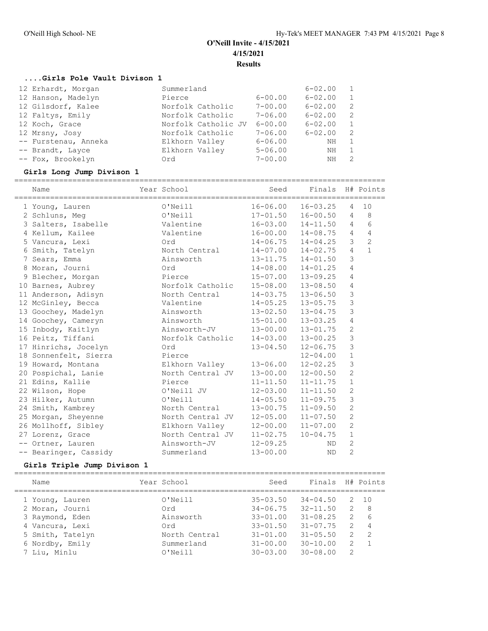## **....Girls Pole Vault Divison 1**

| 12 Erhardt, Morgan   | Summerland          |             | $6 - 02.00$ | 1            |
|----------------------|---------------------|-------------|-------------|--------------|
| 12 Hanson, Madelyn   | Pierce              | $6 - 00.00$ | $6 - 02.00$ | 1            |
| 12 Gilsdorf, Kalee   | Norfolk Catholic    | $7 - 00.00$ | $6 - 02.00$ | 2            |
| 12 Faltys, Emily     | Norfolk Catholic    | $7 - 06.00$ | $6 - 02.00$ | 2            |
| 12 Koch, Grace       | Norfolk Catholic JV | $6 - 00.00$ | $6 - 02.00$ | $\mathbf{1}$ |
| 12 Mrsny, Josy       | Norfolk Catholic    | $7 - 06.00$ | $6 - 02.00$ | 2            |
| -- Furstenau, Anneka | Elkhorn Valley      | $6 - 06.00$ | NΗ          |              |
| -- Brandt, Layce     | Elkhorn Valley      | $5 - 06.00$ | NН          | $\mathbf{1}$ |
| -- Fox, Brookelyn    | Ord                 | $7 - 00.00$ | NH          | 2            |
|                      |                     |             |             |              |

## **Girls Long Jump Divison 1**

| Name                  | Year School      | Seed              | Finals       |                | H# Points      |
|-----------------------|------------------|-------------------|--------------|----------------|----------------|
| 1 Young, Lauren       | O'Neill          | $16 - 06.00$      | $16 - 03.25$ | 4              | 10             |
| 2 Schluns, Meg        | O'Neill          | $17 - 01.50$      | $16 - 00.50$ | $\overline{4}$ | 8              |
| 3 Salters, Isabelle   | Valentine        | $16 - 03.00$      | $14 - 11.50$ | $\overline{4}$ | 6              |
| 4 Kellum, Kailee      | Valentine        | $16 - 00.00$      | $14 - 08.75$ | 4              | 4              |
| 5 Vancura, Lexi       | Ord              | $14 - 06.75$      | $14 - 04.25$ | 3              | $\overline{c}$ |
| 6 Smith, Tatelyn      | North Central    | $14 - 07.00$      | $14 - 02.75$ | $\overline{4}$ | $\mathbf{1}$   |
| 7 Sears, Emma         | Ainsworth        | 13-11.75 14-01.50 |              | $\mathfrak{Z}$ |                |
| 8 Moran, Journi       | Ord              | $14 - 08.00$      | $14 - 01.25$ | $\overline{4}$ |                |
| 9 Blecher, Morgan     | Pierce           | $15 - 07.00$      | $13 - 09.25$ | 4              |                |
| 10 Barnes, Aubrey     | Norfolk Catholic | $15 - 08.00$      | $13 - 08.50$ | 4              |                |
| 11 Anderson, Adisyn   | North Central    | $14 - 03.75$      | $13 - 06.50$ | $\mathsf 3$    |                |
| 12 McGinley, Becca    | Valentine        | $14 - 05.25$      | $13 - 05.75$ | $\mathfrak{Z}$ |                |
| 13 Goochey, Madelyn   | Ainsworth        | $13 - 02.50$      | $13 - 04.75$ | $\mathfrak{Z}$ |                |
| 14 Goochey, Cameryn   | Ainsworth        | $15 - 01.00$      | $13 - 03.25$ | 4              |                |
| 15 Inbody, Kaitlyn    | Ainsworth-JV     | $13 - 00.00$      | $13 - 01.75$ | 2              |                |
| 16 Peitz, Tiffani     | Norfolk Catholic | $14 - 03.00$      | $13 - 00.25$ | 3              |                |
| 17 Hinrichs, Jocelyn  | Ord              | $13 - 04.50$      | $12 - 06.75$ | $\mathfrak{Z}$ |                |
| 18 Sonnenfelt, Sierra | Pierce           |                   | $12 - 04.00$ | $1\,$          |                |
| 19 Howard, Montana    | Elkhorn Valley   | $13 - 06.00$      | $12 - 02.25$ | 3              |                |
| 20 Pospichal, Lanie   | North Central JV | $13 - 00.00$      | $12 - 00.50$ | $\overline{c}$ |                |
| 21 Edins, Kallie      | Pierce           | $11 - 11.50$      | $11 - 11.75$ | $\mathbf 1$    |                |
| 22 Wilson, Hope       | O'Neill JV       | $12 - 03.00$      | $11 - 11.50$ | $\mathbf{2}$   |                |
| 23 Hilker, Autumn     | O'Neill          | $14 - 05.50$      | $11 - 09.75$ | $\mathfrak{Z}$ |                |
| 24 Smith, Kambrey     | North Central    | 13-00.75          | $11 - 09.50$ | $\overline{c}$ |                |
| 25 Morgan, Sheyenne   | North Central JV | $12 - 05.00$      | $11 - 07.50$ | $\overline{c}$ |                |
| 26 Mollhoff, Sibley   | Elkhorn Valley   | $12 - 00.00$      | $11 - 07.00$ | $\overline{c}$ |                |
| 27 Lorenz, Grace      | North Central JV | $11 - 02.75$      | $10 - 04.75$ | $\mathbf{1}$   |                |
| -- Ortner, Lauren     | Ainsworth-JV     | $12 - 09.25$      | ND.          | $\mathbf{2}$   |                |
| -- Bearinger, Cassidy | Summerland       | $13 - 00.00$      | <b>ND</b>    | $\overline{2}$ |                |
|                       |                  |                   |              |                |                |

# **Girls Triple Jump Divison 1**

| Name             | Year School   | Seed         | Finals       |               | H# Points      |
|------------------|---------------|--------------|--------------|---------------|----------------|
| 1 Young, Lauren  | O'Neill       | $35 - 03.50$ | $34 - 04.50$ | 2             | 10             |
| 2 Moran, Journi  | Ord           | $34 - 06.75$ | $32 - 11.50$ | 2             | -8             |
| 3 Raymond, Eden  | Ainsworth     | $33 - 01.00$ | $31 - 08.25$ | $\mathcal{L}$ | 6              |
| 4 Vancura, Lexi  | Ord           | $33 - 01.50$ | $31 - 07.75$ | $\mathcal{P}$ | $\overline{4}$ |
| 5 Smith, Tatelyn | North Central | $31 - 01.00$ | $31 - 05.50$ | 2             | -2             |
| 6 Nordby, Emily  | Summerland    | $31 - 00.00$ | $30 - 10.00$ |               |                |
| 7 Liu, Minlu     | $O'$ Neill    | $30 - 03.00$ | $30 - 08.00$ | $\mathcal{D}$ |                |
|                  |               |              |              |               |                |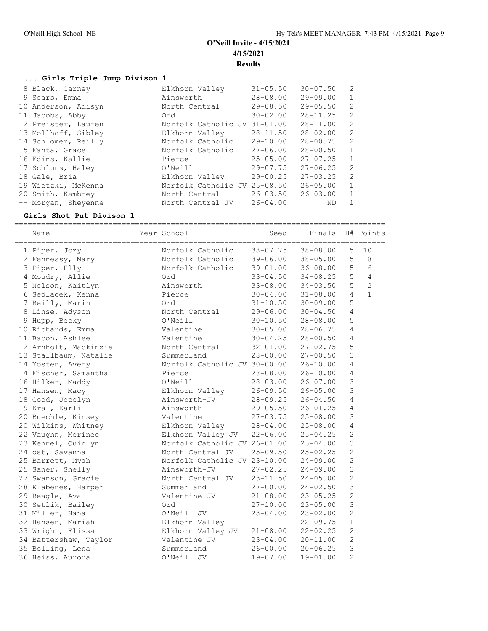## **....Girls Triple Jump Divison 1**

| 8 Black, Carney     | Elkhorn Valley               | $31 - 05.50$ | $30 - 07.50$ | $\overline{2}$ |
|---------------------|------------------------------|--------------|--------------|----------------|
| 9 Sears, Emma       | Ainsworth                    | $28 - 08.00$ | $29 - 09.00$ | $\mathbf{1}$   |
| 10 Anderson, Adisyn | North Central                | $29 - 08.50$ | $29 - 05.50$ | 2              |
| 11 Jacobs, Abby     | Ord                          | $30 - 02.00$ | $28 - 11.25$ | 2              |
| 12 Preister, Lauren | Norfolk Catholic JV          | $31 - 01.00$ | $28 - 11.00$ | $\overline{2}$ |
| 13 Mollhoff, Sibley | Elkhorn Valley               | $28 - 11.50$ | $28 - 02.00$ | 2              |
| 14 Schlomer, Reilly | Norfolk Catholic             | 29-10.00     | $28 - 00.75$ | 2              |
| 15 Fanta, Grace     | Norfolk Catholic             | $27 - 06.00$ | $28 - 00.50$ | $\mathbf{1}$   |
| 16 Edins, Kallie    | Pierce                       | $25 - 05.00$ | $27 - 07.25$ | $\mathbf{1}$   |
| 17 Schluns, Haley   | O'Neill                      | $29 - 07.75$ | $27 - 06.25$ | 2              |
| 18 Gale, Bria       | Elkhorn Valley               | $29 - 00.25$ | $27 - 03.25$ | $\overline{2}$ |
| 19 Wietzki, McKenna | Norfolk Catholic JV 25-08.50 |              | $26 - 05.00$ | $\mathbf{1}$   |
| 20 Smith, Kambrey   | North Central                | $26 - 03.50$ | $26 - 03.00$ | $\mathbf{1}$   |
| -- Morgan, Shevenne | North Central JV             | $26 - 04.00$ | ΝD           |                |

# **Girls Shot Put Divison 1**

| Name                  | Year School                  | Seed         | Finals       |                | H# Points      |
|-----------------------|------------------------------|--------------|--------------|----------------|----------------|
| 1 Piper, Jozy         | Norfolk Catholic             | $38 - 07.75$ | $38 - 08.00$ | 5              | $10$           |
| 2 Fennessy, Mary      | Norfolk Catholic             | 39-06.00     | $38 - 05.00$ | 5              | 8              |
| 3 Piper, Elly         | Norfolk Catholic             | 39-01.00     | $36 - 08.00$ | 5              | 6              |
| 4 Moudry, Allie       | Ord                          | $33 - 04.50$ | $34 - 08.25$ | 5              | $\overline{4}$ |
| 5 Nelson, Kaitlyn     | Ainsworth                    | $33 - 08.00$ | $34 - 03.50$ | 5              | $\overline{c}$ |
| 6 Sedlacek, Kenna     | Pierce                       | $30 - 04.00$ | $31 - 08.00$ | $\overline{4}$ | $\mathbf{1}$   |
| 7 Reilly, Marin       | Ord                          | $31 - 10.50$ | $30 - 09.00$ | 5              |                |
| 8 Linse, Adyson       | North Central                | 29-06.00     | $30 - 04.50$ | $\overline{4}$ |                |
| 9 Hupp, Becky         | O'Neill                      | $30 - 10.50$ | $28 - 08.00$ | 5              |                |
| 10 Richards, Emma     | Valentine                    | $30 - 05.00$ | $28 - 06.75$ | 4              |                |
| 11 Bacon, Ashlee      | Valentine                    | $30 - 04.25$ | $28 - 00.50$ | 4              |                |
| 12 Arnholt, Mackinzie | North Central                | $32 - 01.00$ | $27 - 02.75$ | 5              |                |
| 13 Stallbaum, Natalie | Summerland                   | $28 - 00.00$ | $27 - 00.50$ | 3              |                |
| 14 Yosten, Avery      | Norfolk Catholic JV 30-00.00 |              | $26 - 10.00$ | $\overline{4}$ |                |
| 14 Fischer, Samantha  | Pierce                       | 28-08.00     | $26 - 10.00$ | $\overline{4}$ |                |
| 16 Hilker, Maddy      | O'Neill                      | $28 - 03.00$ | $26 - 07.00$ | 3              |                |
| 17 Hansen, Macy       | Elkhorn Valley               | $26 - 09.50$ | $26 - 05.00$ | $\mathfrak{Z}$ |                |
| 18 Good, Jocelyn      | Ainsworth-JV                 | $28 - 09.25$ | $26 - 04.50$ | $\overline{4}$ |                |
| 19 Kral, Karli        | Ainsworth                    | $29 - 05.50$ | $26 - 01.25$ | $\overline{4}$ |                |
| 20 Buechle, Kinsey    | Valentine                    | $27 - 03.75$ | $25 - 08.00$ | $\mathfrak{Z}$ |                |
| 20 Wilkins, Whitney   | Elkhorn Valley               | $28 - 04.00$ | $25 - 08.00$ | $\overline{4}$ |                |
| 22 Vaughn, Merinee    | Elkhorn Valley JV            | $22 - 06.00$ | $25 - 04.25$ | $\overline{c}$ |                |
| 23 Kennel, Quinlyn    | Norfolk Catholic JV 26-01.00 |              | $25 - 04.00$ | $\mathfrak{Z}$ |                |
| 24 ost, Savanna       | North Central JV             | $25 - 09.50$ | $25 - 02.25$ | $\mathbf{2}$   |                |
| 25 Barrett, Myah      | Norfolk Catholic JV 23-10.00 |              | $24 - 09.00$ | $\overline{c}$ |                |
| 25 Saner, Shelly      | Ainsworth-JV                 | $27 - 02.25$ | $24 - 09.00$ | 3              |                |
| 27 Swanson, Gracie    | North Central JV             | $23 - 11.50$ | $24 - 05.00$ | $\overline{c}$ |                |
| 28 Klabenes, Harper   | Summerland                   | $27 - 00.00$ | $24 - 02.50$ | 3              |                |
| 29 Reagle, Ava        | Valentine JV                 | $21 - 08.00$ | $23 - 05.25$ | $\overline{c}$ |                |
| 30 Setlik, Bailey     | Ord                          | $27 - 10.00$ | $23 - 05.00$ | 3              |                |
| 31 Miller, Hana       | O'Neill JV                   | $23 - 04.00$ | $23 - 02.00$ | $\overline{c}$ |                |
| 32 Hansen, Mariah     | Elkhorn Valley               |              | $22 - 09.75$ | $\mathbf{1}$   |                |
| 33 Wright, Elissa     | Elkhorn Valley JV            | $21 - 08.00$ | $22 - 02.25$ | $\overline{2}$ |                |
| 34 Battershaw, Taylor | Valentine JV                 | $23 - 04.00$ | $20 - 11.00$ | $\overline{c}$ |                |
| 35 Bolling, Lena      | Summerland                   | $26 - 00.00$ | $20 - 06.25$ | 3              |                |
| 36 Heiss, Aurora      | O'Neill JV                   | $19 - 07.00$ | $19 - 01.00$ | $\overline{c}$ |                |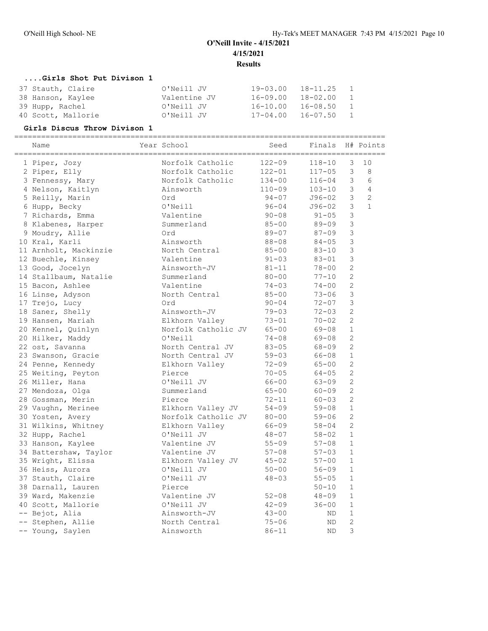## **....Girls Shot Put Divison 1**

| 37 Stauth, Claire  | O'Neill JV   | 19-03.00 | 18-11.25   | $\overline{1}$ |
|--------------------|--------------|----------|------------|----------------|
| 38 Hanson, Kaylee  | Valentine JV | 16-09.00 | 18-02.00   | $\sim$ 1       |
| 39 Hupp, Rachel    | O'Neill JV   | 16-10.00 | 16-08.50   | $\blacksquare$ |
| 40 Scott, Mallorie | O'Neill JV   | 17-04.00 | 16-07.50 1 |                |

**Girls Discus Throw Divison 1** =================================================================================== Name  $Year School$  Seed Finals H# Points =================================================================================== 1 Piper, Jozy Norfolk Catholic 122-09 118-10 3 10 2 Piper, Elly Norfolk Catholic 122-01 117-05 3 8 3 Fennessy, Mary Norfolk Catholic 134-00 116-04 3 6 4 Nelson, Kaitlyn Ainsworth 110-09 103-10 3 4 5 Reilly, Marin Ord 94-07 J96-02 3 2 6 Hupp, Becky O'Neill 96-04 J96-02 3 1 7 Richards, Emma Valentine 90-08 91-05 3 8 Klabenes, Harper Summerland 85-00 89-09 3 9 Moudry, Allie Ord 89-07 87-09 3 10 Kral, Karli Ainsworth 88-08 84-05 3 11 Arnholt, Mackinzie North Central 85-00 83-10 3 12 Buechle, Kinsey Valentine 91-03 83-01 3 13 Good, Jocelyn Ainsworth-JV 81-11 78-00 2 14 Stallbaum, Natalie Summerland 80-00 77-10 2 15 Bacon, Ashlee Valentine 74-03 74-00 2 16 Linse, Adyson North Central 85-00 73-06 3 17 Trejo, Lucy Ord 90-04 72-07 3 18 Saner, Shelly Ainsworth-JV 79-03 72-03 2 19 Hansen, Mariah Elkhorn Valley 73-01 70-02 2 20 Kennel, Quinlyn Norfolk Catholic JV 65-00 69-08 1 20 Hilker, Maddy O'Neill 74-08 69-08 2 22 ost, Savanna North Central JV 83-05 68-09 2 23 Swanson, Gracie North Central JV 59-03 66-08 1 24 Penne, Kennedy Elkhorn Valley 72-09 65-00 2 25 Weiting, Peyton Pierce 25 Weiting, Peyton Pierce 2014 26 Miller, Hana O'Neill JV 66-00 63-09 2 27 Mendoza, Olga Summerland 65-00 60-09 2 28 Gossman, Merin Pierce 72-11 60-03 2 29 Vaughn, Merinee Elkhorn Valley JV 54-09 59-08 1 30 Yosten, Avery Norfolk Catholic JV 80-00 59-06 2 31 Wilkins, Whitney Elkhorn Valley 66-09 58-04 2 32 Hupp, Rachel O'Neill JV 48-07 58-02 1 33 Hanson, Kaylee Valentine JV 55-09 57-08 1 34 Battershaw, Taylor Valentine JV 57-08 57-03 1 35 Wright, Elissa Elkhorn Valley JV 45-02 57-00 1 36 Heiss, Aurora O'Neill JV 50-00 56-09 1 37 Stauth, Claire O'Neill JV 48-03 55-05 1 38 Darnall, Lauren Pierce 50-10 1 39 Ward, Makenzie Valentine JV 52-08 48-09 1 40 Scott, Mallorie O'Neill JV 42-09 36-00 1 -- Bejot, Alia Ainsworth-JV 43-00 ND 1 -- Stephen, Allie North Central 75-06 ND 2 -- Young, Saylen Ainsworth 86-11 ND 3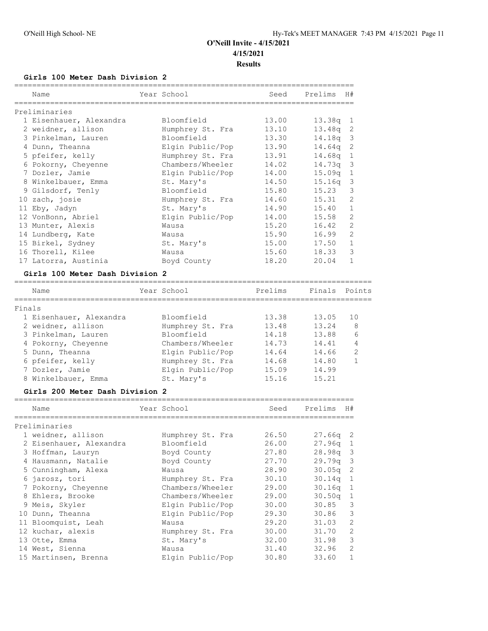**Girls 100 Meter Dash Division 2**

| Name                            | Year School      | Seed  | Prelims    | H#             |
|---------------------------------|------------------|-------|------------|----------------|
| Preliminaries                   |                  |       |            |                |
| 1 Eisenhauer, Alexandra         | Bloomfield       | 13.00 | $13.38q$ 1 |                |
| 2 weidner, allison              | Humphrey St. Fra | 13.10 | $13.48q$ 2 |                |
| 3 Pinkelman, Lauren             | Bloomfield       | 13.30 | $14.18q$ 3 |                |
| 4 Dunn, Theanna                 | Elgin Public/Pop | 13.90 | 14.64q 2   |                |
| 5 pfeifer, kelly                | Humphrey St. Fra | 13.91 | $14.68q$ 1 |                |
| 6 Pokorny, Cheyenne             | Chambers/Wheeler | 14.02 | $14.73q$ 3 |                |
| 7 Dozler, Jamie                 | Elgin Public/Pop | 14.00 | $15.09q$ 1 |                |
| 8 Winkelbauer, Emma             | St. Mary's       | 14.50 | $15.16q$ 3 |                |
| 9 Gilsdorf, Tenly               | Bloomfield       | 15.80 | 15.23      | 3              |
| 10 zach, josie                  | Humphrey St. Fra | 14.60 | 15.31      | 2              |
| 11 Eby, Jadyn                   | St. Mary's       | 14.90 | 15.40      | $\mathbf{1}$   |
| 12 VonBonn, Abriel              | Elgin Public/Pop | 14.00 | 15.58      | $\mathfrak{D}$ |
| 13 Munter, Alexis               | Wausa            | 15.20 | 16.42      | $\overline{2}$ |
| 14 Lundberg, Kate               | Wausa            | 15.90 | 16.99      | $\mathfrak{D}$ |
| 15 Birkel, Sydney               | St. Mary's       | 15.00 | 17.50      | $\mathbf{1}$   |
| 16 Thorell, Kilee               | Wausa            | 15.60 | 18.33      | 3              |
| 17 Latorra, Austinia            | Boyd County      | 18.20 | 20.04      | $\mathbf{1}$   |
| Girls 100 Meter Dash Division 2 |                  |       |            |                |

### ================================================================================ Year School **Prelims** Finals Points

| Finals                  |                  |       |       |    |  |
|-------------------------|------------------|-------|-------|----|--|
| 1 Eisenhauer, Alexandra | Bloomfield       | 13.38 | 13.05 | 10 |  |
| 2 weidner, allison      | Humphrey St. Fra | 13.48 | 13.24 | 8  |  |
| 3 Pinkelman, Lauren     | Bloomfield       | 14.18 | 13.88 | 6  |  |
| 4 Pokorny, Cheyenne     | Chambers/Wheeler | 14.73 | 14.41 | 4  |  |
| 5 Dunn, Theanna         | Elgin Public/Pop | 14.64 | 14.66 | 2  |  |
| 6 pfeifer, kelly        | Humphrey St. Fra | 14.68 | 14.80 |    |  |
| 7 Dozler, Jamie         | Elgin Public/Pop | 15.09 | 14.99 |    |  |
| 8 Winkelbauer, Emma     | St. Mary's       | 15.16 | 15.21 |    |  |

#### **Girls 200 Meter Dash Division 2**

| Name                    | Year School      | Seed  | Prelims    | H#             |
|-------------------------|------------------|-------|------------|----------------|
| Preliminaries           |                  |       |            |                |
| 1 weidner, allison      | Humphrey St. Fra | 26.50 | $27.66q$ 2 |                |
| 2 Eisenhauer, Alexandra | Bloomfield       | 26.00 | 27.96q     | -1             |
| 3 Hoffman, Lauryn       | Boyd County      | 27.80 | 28.98a     | -3             |
| 4 Hausmann, Natalie     | Boyd County      | 27.70 | 29.79q     | -3             |
| 5 Cunningham, Alexa     | Wausa            | 28.90 | 30.05q     | -2             |
| 6 jarosz, tori          | Humphrey St. Fra | 30.10 | 30.14q     | 1              |
| 7 Pokorny, Cheyenne     | Chambers/Wheeler | 29.00 | 30.16q     | 1              |
| 8 Ehlers, Brooke        | Chambers/Wheeler | 29.00 | 30.50q     | 1              |
| 9 Meis, Skyler          | Elgin Public/Pop | 30.00 | 30.85      | 3              |
| 10 Dunn, Theanna        | Elgin Public/Pop | 29.30 | 30.86      | 3              |
| 11 Bloomquist, Leah     | Wausa            | 29.20 | 31.03      | $\overline{2}$ |
| 12 kuchar, alexis       | Humphrey St. Fra | 30.00 | 31.70      | $\overline{2}$ |
| 13 Otte, Emma           | St. Mary's       | 32.00 | 31.98      | 3              |
| 14 West, Sienna         | Wausa            | 31.40 | 32.96      | $\overline{2}$ |
| 15 Martinsen, Brenna    | Elgin Public/Pop | 30.80 | 33.60      |                |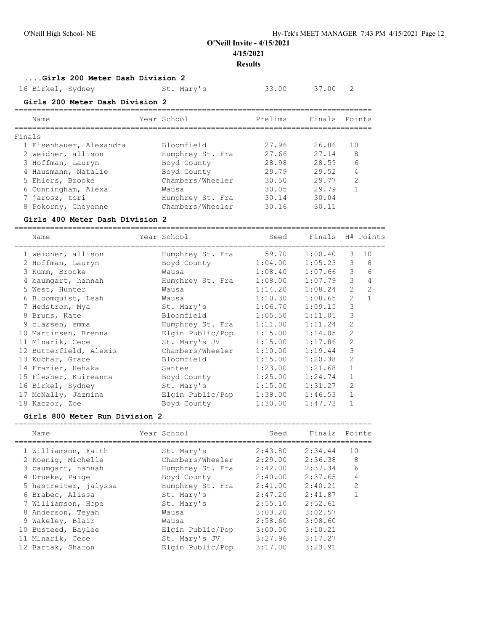## **....Girls 200 Meter Dash Division 2**

16 Birkel, Sydney St. Mary's 33.00 37.00 2

# **Girls 200 Meter Dash Division 2**

| Points        |
|---------------|
|               |
| 1 O           |
| 8             |
| 6             |
| 4             |
| $\mathcal{D}$ |
|               |
|               |
|               |
|               |

## **Girls 400 Meter Dash Division 2**

| Name                   | Year School              | Seed                | Finals H# Points |                |              |
|------------------------|--------------------------|---------------------|------------------|----------------|--------------|
| 1 weidner, allison     | Humphrey St. Fra 59.70   |                     | 1:00.40          | 3              | 10           |
| 2 Hoffman, Lauryn      | Boyd County              | 1:04.00             | 1:05.23          | 3              | 8            |
| 3 Kumm, Brooke         | Wausa                    | $1:08.40$ $1:07.66$ |                  | 3              | 6            |
| 4 baumqart, hannah     | Humphrey St. Fra         | 1:08.00             | 1:07.79          | 3              | 4            |
| 5 West, Hunter         | Wausa                    | 1:14.20             | 1:08.24          | 2              | 2            |
| 6 Bloomquist, Leah     | Wausa                    | 1:10.30             | 1:08.65          | $\overline{2}$ | $\mathbf{1}$ |
| 7 Hedstrom, Mya        | St. Mary's               | 1:06.70             | 1:09.15          | 3              |              |
| 8 Bruns, Kate          | Bloomfield               | 1:05.50             | 1:11.05          | 3              |              |
| 9 classen, emma        | Humphrey St. Fra 1:11.00 |                     | 1:11.24          | $\overline{2}$ |              |
| 10 Martinsen, Brenna   | Elgin Public/Pop 1:15.00 |                     | 1:14.05          | $\overline{2}$ |              |
| 11 Mlnarik, Cece       | St. Mary's JV 1:15.00    |                     | 1:17.86          | 2              |              |
| 12 Butterfield, Alexis | Chambers/Wheeler         | 1:10.00             | 1:19.44          | 3              |              |
| 13 Kuchar, Grace       | Bloomfield               | 1:15.00             | 1:20.38          | 2              |              |
| 14 Frazier, Hehaka     | Santee                   | 1:23.00             | 1:21.68          | $\mathbf{1}$   |              |
| 15 Flesher, Kuireanna  | Boyd County              | 1:25.00             | 1:24.74          | $\mathbf{1}$   |              |
| 16 Birkel, Sydney      | St. Mary's               | 1:15.00             | 1:31.27          | $\overline{2}$ |              |
| 17 McNally, Jazmine    | Elgin Public/Pop         | 1:38.00             | 1:46.53          | $\mathbf{1}$   |              |
| 18 Kaczor, Zoe         | Boyd County              | 1:30.00             | 1:47.73          | $\mathbf{1}$   |              |

#### **Girls 800 Meter Run Division 2**

| Name                  | Year School      | Seed    | Finals  | Points        |
|-----------------------|------------------|---------|---------|---------------|
| 1 Williamson, Faith   | St. Mary's       | 2:43.80 | 2:34.44 | 10            |
| 2 Koenig, Michelle    | Chambers/Wheeler | 2:29.00 | 2:36.38 | 8             |
| 3 baumqart, hannah    | Humphrey St. Fra | 2:42.00 | 2:37.34 | 6             |
| 4 Drueke, Paige       | Boyd County      | 2:40.00 | 2:37.65 | 4             |
| 5 hastreiter, jalyssa | Humphrey St. Fra | 2:41.00 | 2:40.21 | $\mathcal{L}$ |
| 6 Brabec, Alissa      | St. Mary's       | 2:47.20 | 2:41.87 |               |
| 7 Williamson, Hope    | St. Mary's       | 2:55.10 | 2:52.61 |               |
| 8 Anderson, Teyah     | Wausa            | 3:03.20 | 3:02.57 |               |
| 9 Wakeley, Blair      | Wausa            | 2:58.60 | 3:08.60 |               |
| 10 Busteed, Baylee    | Elgin Public/Pop | 3:00.00 | 3:10.21 |               |
| 11 Mlnarik, Cece      | St. Mary's JV    | 3:27.96 | 3:17.27 |               |
| 12 Bartak, Sharon     | Elgin Public/Pop | 3:17.00 | 3:23.91 |               |
|                       |                  |         |         |               |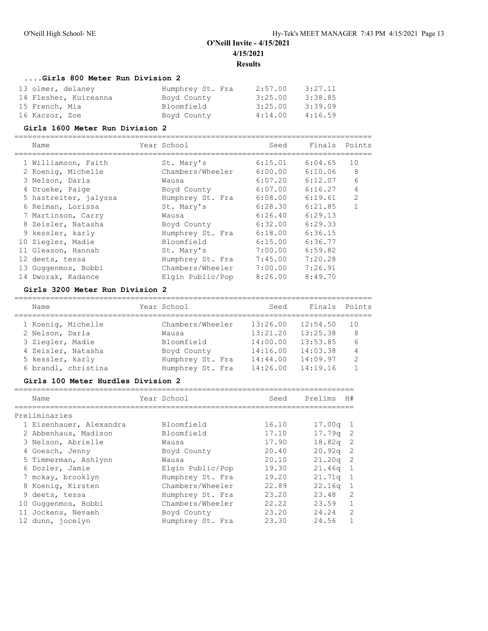## **....Girls 800 Meter Run Division 2**

| 13 olmer, delaney     | Humphrey St. Fra | 2:57.00 | 3:27.11 |
|-----------------------|------------------|---------|---------|
| 14 Flesher, Kuireanna | Boyd County      | 3:25.00 | 3:38.85 |
| 15 French, Mia        | Bloomfield       | 3:25.00 | 3:39.09 |
| 16 Kaczor, Zoe        | Boyd County      | 4:14.00 | 4:16.59 |

#### **Girls 1600 Meter Run Division 2**

================================================================================

| Name                  | Year School      | Seed    | Finals Points |                |
|-----------------------|------------------|---------|---------------|----------------|
| 1 Williamson, Faith   | St. Mary's       | 6:15.01 | 6:04.65       | 10             |
| 2 Koenig, Michelle    | Chambers/Wheeler | 6:00.00 | 6:10.06       | 8              |
| 3 Nelson, Darla       | Wausa            | 6:07.20 | 6:12.07       | 6              |
| 4 Drueke, Paige       | Boyd County      | 6:07.00 | 6:16.27       | 4              |
| 5 hastreiter, jalyssa | Humphrey St. Fra | 6:08.00 | 6:19.61       | $\mathfrak{D}$ |
| 6 Reiman, Lorissa     | St. Mary's       | 6:28.30 | 6:21.85       |                |
| 7 Martinson, Carry    | Wausa            | 6:26.40 | 6:29.13       |                |
| 8 Zeisler, Natasha    | Boyd County      | 6:32.00 | 6:29.33       |                |
| 9 kessler, karly      | Humphrey St. Fra | 6:18.00 | 6:36.15       |                |
| 10 Ziegler, Madie     | Bloomfield       | 6:15.00 | 6:36.77       |                |
| 11 Gleason, Hannah    | St. Mary's       | 7:00.00 | 6:59.82       |                |
| 12 deets, tessa       | Humphrey St. Fra | 7:45.00 | 7:20.28       |                |
| 13 Guggenmos, Bobbi   | Chambers/Wheeler | 7:00.00 | 7:26.91       |                |
| 14 Dworak, Kadance    | Elgin Public/Pop | 8:26.00 | 8:49.70       |                |

### **Girls 3200 Meter Run Division 2**

| Name                | Year School      | Seed     | Finals   | Points |
|---------------------|------------------|----------|----------|--------|
| 1 Koenig, Michelle  | Chambers/Wheeler | 13:26.00 | 12:54.50 | 10     |
| 2 Nelson, Darla     | Wausa            | 13:21.20 | 13:25.38 | 8      |
| 3 Ziegler, Madie    | Bloomfield       | 14:00.00 | 13:53.85 | 6      |
| 4 Zeisler, Natasha  | Boyd County      | 14:16.00 | 14:03.38 | 4      |
| 5 kessler, karly    | Humphrey St. Fra | 14:44.00 | 14:09.97 | 2      |
| 6 brandl, christina | Humphrey St. Fra | 14:26.00 | 14:19.16 |        |
|                     |                  |          |          |        |

## **Girls 100 Meter Hurdles Division 2**

| Name |                                                                                                                                                                                                                                                                                   |                  | Seed        | Prelims<br>H#             |  |
|------|-----------------------------------------------------------------------------------------------------------------------------------------------------------------------------------------------------------------------------------------------------------------------------------|------------------|-------------|---------------------------|--|
|      |                                                                                                                                                                                                                                                                                   |                  |             |                           |  |
|      |                                                                                                                                                                                                                                                                                   | Bloomfield       | 16.10       | 17.00 <sub>q</sub><br>- 1 |  |
|      |                                                                                                                                                                                                                                                                                   | Bloomfield       | 17.10       | $17.79q$ 2                |  |
|      |                                                                                                                                                                                                                                                                                   | Wausa            | 17.90       | $\overline{2}$<br>18.82a  |  |
|      |                                                                                                                                                                                                                                                                                   | Boyd County      | 20.40       | 20.92q<br>-2              |  |
|      |                                                                                                                                                                                                                                                                                   | Wausa            | 20.10       | 21.20 <sub>q</sub><br>-2  |  |
|      |                                                                                                                                                                                                                                                                                   | Elgin Public/Pop | 19.30       | 1<br>21.46q               |  |
|      |                                                                                                                                                                                                                                                                                   | Humphrey St. Fra | 19.20       | 21.71q<br>1               |  |
|      |                                                                                                                                                                                                                                                                                   | Chambers/Wheeler | 22.89       | 22.16q<br>$\mathbf{1}$    |  |
|      |                                                                                                                                                                                                                                                                                   | Humphrey St. Fra | 23.20       | $\mathcal{L}$<br>23.48    |  |
|      |                                                                                                                                                                                                                                                                                   | Chambers/Wheeler | 22.22       | 23.59<br>1                |  |
|      |                                                                                                                                                                                                                                                                                   | Boyd County      | 23.20       | $\mathcal{L}$<br>24.24    |  |
|      |                                                                                                                                                                                                                                                                                   | Humphrey St. Fra | 23.30       | 24.56                     |  |
|      | Preliminaries<br>1 Eisenhauer, Alexandra<br>2 Abbenhaus, Madison<br>3 Nelson, Abrielle<br>4 Goesch, Jenny<br>5 Timmerman, Ashlynn<br>6 Dozler, Jamie<br>7 mckay, brooklyn<br>8 Koenig, Kirsten<br>9 deets, tessa<br>10 Guggenmos, Bobbi<br>11 Jockens, Nevaeh<br>12 dunn, jocelyn |                  | Year School |                           |  |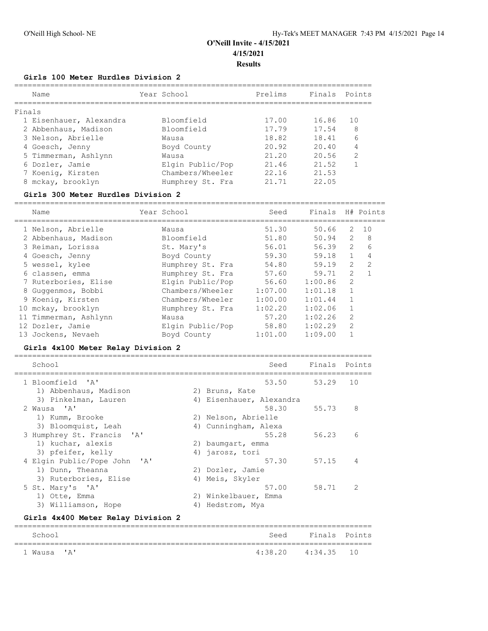#### **Girls 100 Meter Hurdles Division 2**

|   | Name                    | Year School      | Prelims | Finals | Points |
|---|-------------------------|------------------|---------|--------|--------|
|   | Finals                  |                  |         |        |        |
|   | 1 Eisenhauer, Alexandra | Bloomfield       | 17.00   | 16.86  | 10     |
|   | 2 Abbenhaus, Madison    | Bloomfield       | 17.79   | 17.54  | 8      |
|   | 3 Nelson, Abrielle      | Wausa            | 18.82   | 18.41  | 6      |
|   | 4 Goesch, Jenny         | Boyd County      | 20.92   | 20.40  | 4      |
|   | 5 Timmerman, Ashlynn    | Wausa            | 21.20   | 20.56  | 2      |
|   | 6 Dozler, Jamie         | Elgin Public/Pop | 21.46   | 21.52  |        |
|   | 7 Koenig, Kirsten       | Chambers/Wheeler | 22.16   | 21.53  |        |
| 8 | mckay, brooklyn         | Humphrey St. Fra | 21 71   | 22.05  |        |
|   |                         |                  |         |        |        |

#### **Girls 300 Meter Hurdles Division 2**

=================================================================================== Name Year School Seed Finals H# Points =================================================================================== 1 Nelson, Abrielle Wausa 51.30 50.66 2 10 2 Abbenhaus, Madison Bloomfield 51.80 50.94 2 8 3 Reiman, Lorissa St. Mary's 56.01 56.39 2 6 4 Goesch, Jenny Boyd County 59.30 59.18 1 4 5 wessel, kylee Humphrey St. Fra 54.80 59.19 2 2 6 classen, emma Humphrey St. Fra 57.60 59.71 2 1 7 Ruterbories, Elise Elgin Public/Pop 56.60 1:00.86 2 8 Guggenmos, Bobbi Chambers/Wheeler 1:07.00 1:01.18 1 9 Koenig, Kirsten Chambers/Wheeler 1:00.00 1:01.44 1 10 mckay, brooklyn Humphrey St. Fra 1:02.20 1:02.06 1 11 Timmerman, Ashlynn Wausa 57.20 1:02.26 2 12 Dozler, Jamie Elgin Public/Pop 58.80 1:02.29 2 13 Jockens, Nevaeh Boyd County 1:01.00 1:09.00 1

#### **Girls 4x100 Meter Relay Division 2**

| School                       |    | Seed                     | Finals Points |               |
|------------------------------|----|--------------------------|---------------|---------------|
| 1 Bloomfield 'A'             |    | 53.50                    | 53.29         | 10            |
| 1) Abbenhaus, Madison        |    | 2) Bruns, Kate           |               |               |
| 3) Pinkelman, Lauren         |    | 4) Eisenhauer, Alexandra |               |               |
| 2 Wausa 'A'                  |    | 58.30                    | 55.73         | 8             |
| 1) Kumm, Brooke              |    | 2) Nelson, Abrielle      |               |               |
| 3) Bloomquist, Leah          |    | 4) Cunningham, Alexa     |               |               |
| 3 Humphrey St. Francis 'A'   |    | 55.28                    | 56.23         | 6             |
| 1) kuchar, alexis            |    | 2) baumgart, emma        |               |               |
| 3) pfeifer, kelly            |    | 4) jarosz, tori          |               |               |
| 4 Elgin Public/Pope John 'A' |    | 57.30                    | 57.15         | 4             |
| 1) Dunn, Theanna             |    | 2) Dozler, Jamie         |               |               |
| 3) Ruterbories, Elise        |    | 4) Meis, Skyler          |               |               |
| 5 St. Mary's 'A'             |    | 57.00                    | 58.71         | $\mathcal{L}$ |
| 1) Otte, Emma                | 2) | Winkelbauer, Emma        |               |               |
| 3) Williamson, Hope          | 4) | Hedstrom, Mya            |               |               |

#### **Girls 4x400 Meter Relay Division 2**

| School      |                    | Seed Finals Points |  |
|-------------|--------------------|--------------------|--|
| 1 Wausa 'A' | 4:38.20 4:34.35 10 |                    |  |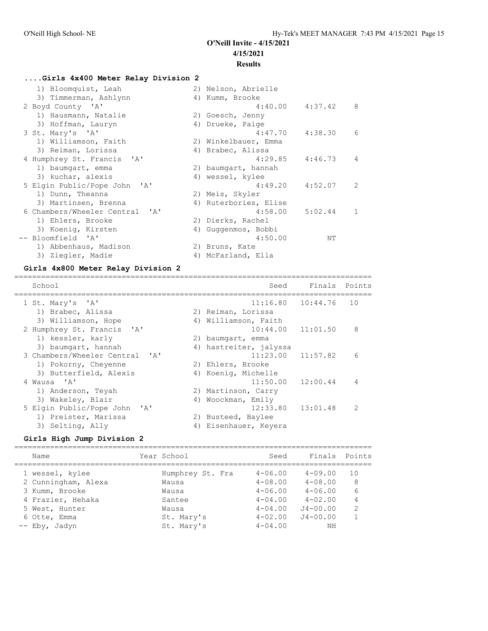## **....Girls 4x400 Meter Relay Division 2**

| 1) Bloomquist, Leah            | 2) Nelson, Abrielle   |              |
|--------------------------------|-----------------------|--------------|
| 3) Timmerman, Ashlynn          | 4) Kumm, Brooke       |              |
| 2 Boyd County 'A'              | $4:40.00$ $4:37.42$   | 8            |
| 1) Hausmann, Natalie           | 2) Goesch, Jenny      |              |
| 3) Hoffman, Lauryn             | 4) Drueke, Paige      |              |
| 3 St. Mary's 'A'               | $4:47.70$ $4:38.30$   | 6            |
| 1) Williamson, Faith           | 2) Winkelbauer, Emma  |              |
| 3) Reiman, Lorissa             | 4) Brabec, Alissa     |              |
| 4 Humphrey St. Francis 'A'     | 4:29.85<br>4:46.73    | 4            |
| 1) baumqart, emma              | 2) baumgart, hannah   |              |
| 3) kuchar, alexis              | 4) wessel, kylee      |              |
| 5 Elgin Public/Pope John 'A'   | 4:49.20<br>4:52.07    | 2            |
| 1) Dunn, Theanna               | 2) Meis, Skyler       |              |
| 3) Martinsen, Brenna           | 4) Ruterbories, Elise |              |
| 6 Chambers/Wheeler Central 'A' | 5:02.44<br>4:58.00    | $\mathbf{1}$ |
| 1) Ehlers, Brooke              | 2) Dierks, Rachel     |              |
| 3) Koenig, Kirsten             | 4) Guggenmos, Bobbi   |              |
| -- Bloomfield 'A'              | 4:50.00<br>ΝT         |              |
| 1) Abbenhaus, Madison          | 2) Bruns, Kate        |              |
| 3) Ziegler, Madie              | 4) McFarland, Ella    |              |

## **Girls 4x800 Meter Relay Division 2**

| School                                   |    | Seed                   | Finals | Points        |
|------------------------------------------|----|------------------------|--------|---------------|
| 1 St. Mary's 'A'                         |    | $11:16.80$ $10:44.76$  |        | 10            |
| 1) Brabec, Alissa                        |    | 2) Reiman, Lorissa     |        |               |
| 3) Williamson, Hope                      |    | 4) Williamson, Faith   |        |               |
| 2 Humphrey St. Francis 'A'               |    | $10:44.00$ $11:01.50$  |        | 8             |
| 1) kessler, karly                        |    | 2) baumgart, emma      |        |               |
| 3) baumgart, hannah                      |    | 4) hastreiter, jalyssa |        |               |
| 3 Chambers/Wheeler Central 'A'           |    | $11:23.00$ $11:57.82$  |        | 6             |
| 1) Pokorny, Cheyenne                     |    | 2) Ehlers, Brooke      |        |               |
| 3) Butterfield, Alexis                   |    | 4) Koenig, Michelle    |        |               |
| 4 Wausa 'A'                              |    | $11:50.00$ $12:00.44$  |        | 4             |
| 1) Anderson, Teyah                       |    | 2) Martinson, Carry    |        |               |
| 3) Wakeley, Blair                        | 4) | Woockman, Emily        |        |               |
| 5 Elgin Public/Pope John<br>$\mathsf{A}$ |    | $12:33.80$ $13:01.48$  |        | $\mathcal{P}$ |
| 1) Preister, Marissa                     | 2) | Busteed, Baylee        |        |               |
| 3) Selting, Ally                         | 4) | Eisenhauer, Keyera     |        |               |

# **Girls High Jump Division 2**

| Name                                   | Year School               | Seed                       | Finals                      | Points              |
|----------------------------------------|---------------------------|----------------------------|-----------------------------|---------------------|
| 1 wessel, kylee<br>2 Cunningham, Alexa | Humphrey St. Fra<br>Wausa | $4 - 06.00$<br>$4 - 08.00$ | $4 - 09.00$<br>$4 - 08.00$  | 1 O<br>8            |
| 3 Kumm, Brooke                         | Wausa                     | $4 - 06.00$                | $4 - 06.00$                 | 6                   |
| 4 Frazier, Hehaka<br>5 West, Hunter    | Santee<br>Wausa           | $4 - 04.00$<br>$4 - 04.00$ | $4 - 02.00$<br>$J4 - 00.00$ | 4<br>$\mathfrak{D}$ |
| 6 Otte, Emma<br>-- Eby, Jadyn          | St. Mary's<br>St. Mary's  | $4 - 02.00$<br>$4 - 04.00$ | $J4 - 00.00$<br>ΝH          | 1                   |
|                                        |                           |                            |                             |                     |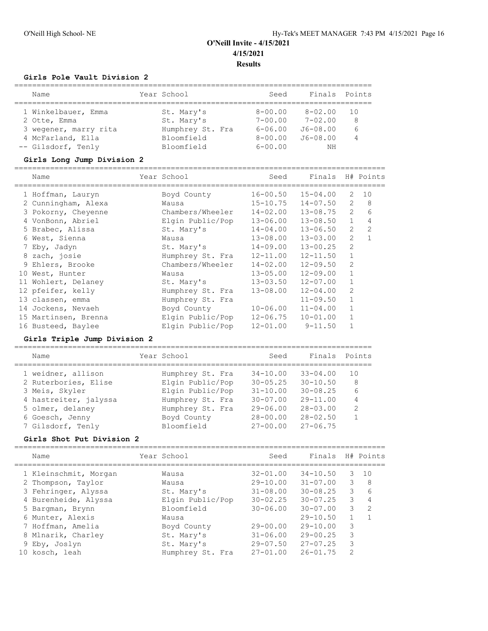### **Girls Pole Vault Division 2**

| Name                  | Year School      | Seed        | Finals       | Points         |
|-----------------------|------------------|-------------|--------------|----------------|
|                       |                  |             |              |                |
| 1 Winkelbauer, Emma   | St. Mary's       | $8 - 00.00$ | $8 - 02.00$  | 1 O            |
| 2 Otte, Emma          | St. Mary's       | $7 - 00.00$ | $7 - 02.00$  | 8              |
| 3 wegener, marry rita | Humphrey St. Fra | $6 - 06.00$ | $J6 - 08.00$ | 6              |
| 4 McFarland, Ella     | Bloomfield       | $8 - 00.00$ | $J6 - 08.00$ | $\overline{4}$ |
| -- Gilsdorf, Tenly    | Bloomfield       | $6 - 00.00$ | NΗ           |                |

#### **Girls Long Jump Division 2**

=================================================================================== Name The Year School Seed Finals H# Points =================================================================================== 1 Hoffman, Lauryn Boyd County 16-00.50 15-04.00 2 10 2 Cunningham, Alexa Wausa 15-10.75 14-07.50 2 8 3 Pokorny, Cheyenne Chambers/Wheeler 14-02.00 13-08.75 2 6 4 VonBonn, Abriel Elgin Public/Pop 13-06.00 13-08.50 1 4 5 Brabec, Alissa St. Mary's 14-04.00 13-06.50 2 2 6 West, Sienna Wausa 13-08.00 13-03.00 2 1 7 Eby, Jadyn St. Mary's 14-09.00 13-00.25 2 8 zach, josie Humphrey St. Fra 12-11.00 12-11.50 1 9 Ehlers, Brooke Chambers/Wheeler 14-02.00 12-09.50 2 10 West, Hunter Wausa 13-05.00 12-09.00 1 11 Wohlert, Delaney St. Mary's 13-03.50 12-07.00 1 12 pfeifer, kelly Humphrey St. Fra 13-08.00 12-04.00 2 13 classen, emma end Humphrey St. Fra 11-09.50 1 14 Jockens, Nevaeh Boyd County 10-06.00 11-04.00 1 15 Martinsen, Brenna Elgin Public/Pop 12-06.75 10-01.00 1 16 Busteed, Baylee Elgin Public/Pop 12-01.00 9-11.50 1

#### **Girls Triple Jump Division 2**

| Name                  | Year School      | Seed         | Finals Points |               |
|-----------------------|------------------|--------------|---------------|---------------|
| 1 weidner, allison    | Humphrey St. Fra | $34 - 10.00$ | $33 - 04.00$  | 10            |
| 2 Ruterbories, Elise  | Elgin Public/Pop | $30 - 05.25$ | $30 - 10.50$  | 8             |
| 3 Meis, Skyler        | Elgin Public/Pop | $31 - 10.00$ | $30 - 08.25$  | 6             |
| 4 hastreiter, jalyssa | Humphrey St. Fra | $30 - 07.00$ | $29 - 11.00$  | 4             |
| 5 olmer, delaney      | Humphrey St. Fra | $29 - 06.00$ | $28 - 03.00$  | $\mathcal{D}$ |
| 6 Goesch, Jenny       | Boyd County      | $28 - 00.00$ | $28 - 02.50$  |               |
| 7 Gilsdorf, Tenly     | Bloomfield       | $27 - 00.00$ | $27 - 06.75$  |               |

#### **Girls Shot Put Division 2**

| Name                  | Year School      | Seed         | Finals       |               | H# Points |
|-----------------------|------------------|--------------|--------------|---------------|-----------|
| 1 Kleinschmit, Morgan | Wausa            | $32 - 01.00$ | $34 - 10.50$ | 3             | 1 O       |
| 2 Thompson, Taylor    | Wausa            | $29 - 10.00$ | $31 - 07.00$ | 3             | 8         |
| 3 Fehringer, Alyssa   | St. Mary's       | $31 - 08.00$ | $30 - 08.25$ | 3             | 6         |
| 4 Burenheide, Alyssa  | Elgin Public/Pop | $30 - 02.25$ | $30 - 07.25$ | 3             |           |
| 5 Bargman, Brynn      | Bloomfield       | $30 - 06.00$ | $30 - 07.00$ | 3             | 2         |
| 6 Munter, Alexis      | Wausa            |              | $29 - 10.50$ |               |           |
| 7 Hoffman, Amelia     | Boyd County      | $29 - 00.00$ | $29 - 10.00$ | 3             |           |
| 8 Mlnarik, Charley    | St. Mary's       | $31 - 06.00$ | $29 - 00.25$ | 3             |           |
| 9 Eby, Joslyn         | St. Mary's       | $29 - 07.50$ | $27 - 07.25$ | 3             |           |
| 10 kosch, leah        | Humphrey St. Fra | $27 - 01.00$ | $26 - 01.75$ | $\mathcal{D}$ |           |
|                       |                  |              |              |               |           |